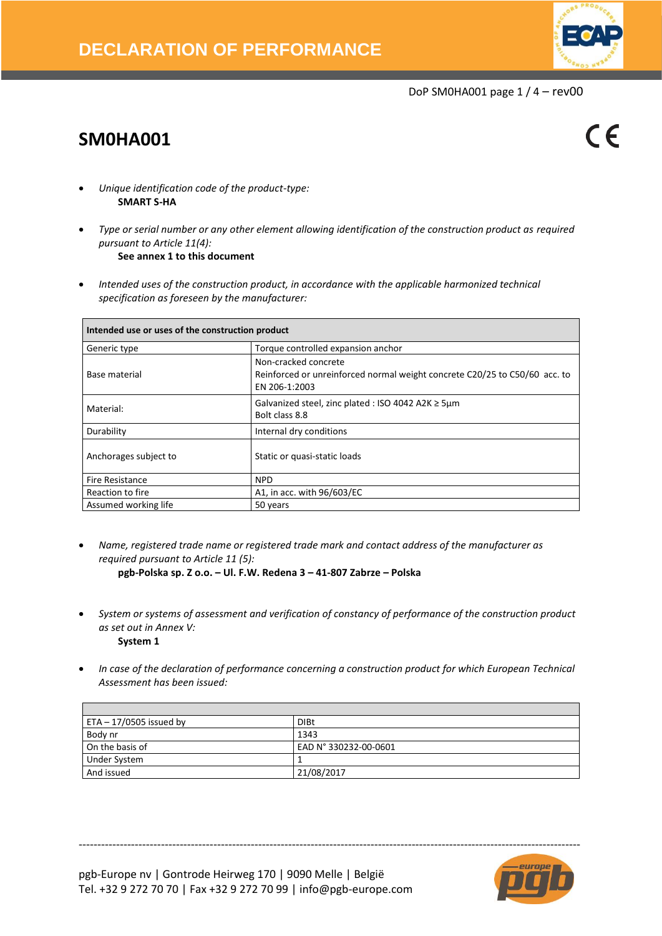

DoP SM0HA001 page 1 / 4 – rev00

# **SM0HA001**

 $\epsilon$ 

- *Unique identification code of the product-type:* **SMART S-HA**
- *Type or serial number or any other element allowing identification of the construction product as required pursuant to Article 11(4):* **See annex 1 to this document**
- *Intended uses of the construction product, in accordance with the applicable harmonized technical specification as foreseen by the manufacturer:*

| Intended use or uses of the construction product |                                                                                                                     |  |  |  |  |  |
|--------------------------------------------------|---------------------------------------------------------------------------------------------------------------------|--|--|--|--|--|
| Generic type                                     | Torque controlled expansion anchor                                                                                  |  |  |  |  |  |
| Base material                                    | Non-cracked concrete<br>Reinforced or unreinforced normal weight concrete C20/25 to C50/60 acc. to<br>EN 206-1:2003 |  |  |  |  |  |
| Material:                                        | Galvanized steel, zinc plated : ISO 4042 A2K $\geq$ 5µm<br>Bolt class 8.8                                           |  |  |  |  |  |
| Durability                                       | Internal dry conditions                                                                                             |  |  |  |  |  |
| Anchorages subject to                            | Static or quasi-static loads                                                                                        |  |  |  |  |  |
| Fire Resistance                                  | <b>NPD</b>                                                                                                          |  |  |  |  |  |
| Reaction to fire                                 | A1, in acc. with 96/603/EC                                                                                          |  |  |  |  |  |
| Assumed working life                             | 50 years                                                                                                            |  |  |  |  |  |

- *Name, registered trade name or registered trade mark and contact address of the manufacturer as required pursuant to Article 11 (5):* **pgb-Polska sp. Z o.o. – Ul. F.W. Redena 3 – 41-807 Zabrze – Polska**
- *System or systems of assessment and verification of constancy of performance of the construction product as set out in Annex V:* **System 1**
- *In case of the declaration of performance concerning a construction product for which European Technical Assessment has been issued:*

| ETA $-17/0505$ issued by | <b>DIBt</b>           |
|--------------------------|-----------------------|
| Body nr                  | 1343                  |
| On the basis of          | EAD N° 330232-00-0601 |
| <b>Under System</b>      |                       |
| And issued               | 21/08/2017            |

--------------------------------------------------------------------------------------------------------------------------------------

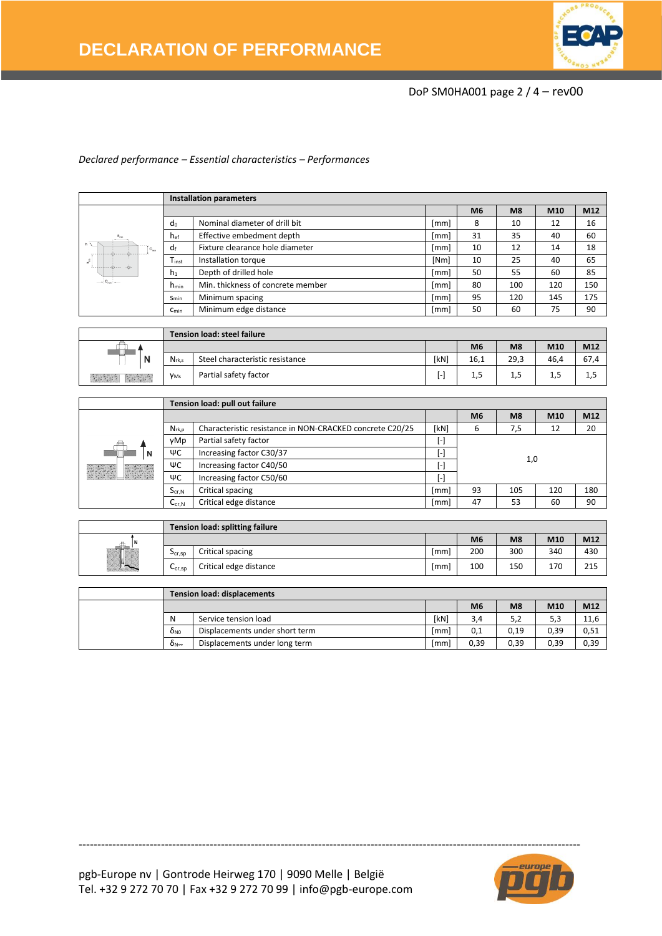

## DoP SM0HA001 page 2 / 4 – rev00

### *Declared performance – Essential characteristics – Performances*

|                           |                  | <b>Installation parameters</b>    |      |                |     |     |     |
|---------------------------|------------------|-----------------------------------|------|----------------|-----|-----|-----|
|                           |                  |                                   |      | M <sub>6</sub> | M8  | M10 | M12 |
|                           | do               | Nominal diameter of drill bit     | [mm] | 8              | 10  | 12  | 16  |
| $\mathbf{s}_{\text{min}}$ | $h_{\text{ef}}$  | Effective embedment depth         | [mm] | 31             | 35  | 40  | 60  |
| $h \sqrt{2}$<br>$C_{mn}$  | df               | Fixture clearance hole diameter   | [mm] | 10             | 12  | 14  | 18  |
| $n^{\frac{5}{6}}$         | Tinst            | Installation torque               | [Nm] | 10             | 25  | 40  | 65  |
|                           | $h_1$            | Depth of drilled hole             | [mm] | 50             | 55  | 60  | 85  |
| $-c_{\min}$               | h <sub>min</sub> | Min. thickness of concrete member | [mm] | 80             | 100 | 120 | 150 |
|                           | $S_{min}$        | Minimum spacing                   | [mm] | 95             | 120 | 145 | 175 |
|                           | $C_{min}$        | Minimum edge distance             | [mm] | 50             | 60  | 75  | 90  |

|      |                        | <b>Tension load: steel failure</b> |      |                |                |      |      |  |
|------|------------------------|------------------------------------|------|----------------|----------------|------|------|--|
|      |                        |                                    |      | M <sub>6</sub> | M <sub>8</sub> | M10  | M12  |  |
| N    | $N_{rk,s}$             | Steel characteristic resistance    | [kN] | 16,1           | 29,3           | 46.4 | 67,4 |  |
| 医神经病 | <b>Y</b> <sub>Ms</sub> | Partial safety factor              | ı –  | ⊥,∟            | 1,5            | 1,5  | 1,5  |  |

|               |            | Tension load: pull out failure                           |                        |                |     |     |     |
|---------------|------------|----------------------------------------------------------|------------------------|----------------|-----|-----|-----|
|               |            |                                                          |                        | M <sub>6</sub> | M8  | M10 | M12 |
|               | $N_{rk,p}$ | Characteristic resistance in NON-CRACKED concrete C20/25 | [kN]                   | 6              | 7,5 | 12  | 20  |
|               | γMp        | Partial safety factor                                    | $\left[ \cdot \right]$ | 1,0            |     |     |     |
| N             | ΨC         | Increasing factor C30/37                                 | ŀ.                     |                |     |     |     |
|               | ΨC         | Increasing factor C40/50                                 | $[\cdot]$              |                |     |     |     |
| a da da 1890a | ΨC         | Increasing factor C50/60                                 | $[\cdot]$              |                |     |     |     |
|               | $S_{cr,N}$ | Critical spacing                                         | [mm]                   | 93             | 105 | 120 | 180 |
|               | $C_{cr,N}$ | Critical edge distance                                   | [mm]                   | 47             | 53  | 60  | 90  |

|                                                      |                        | Tension load: splitting failure |                  |                |                |     |     |
|------------------------------------------------------|------------------------|---------------------------------|------------------|----------------|----------------|-----|-----|
| 44.<br>m                                             |                        |                                 |                  | M <sub>6</sub> | M <sub>8</sub> | M10 | M12 |
| <b>Basic and A</b><br>松碱                             | $5c$ <sub>cr, Sp</sub> | Critical spacing                | lmm <sub>i</sub> | 200            | 300            | 340 | 430 |
| <b>TALES</b><br>$\sim$<br>and of a same of a sale of | $Ccr$ .sp              | Critical edge distance          | <b>Imml</b>      | 100            | 150            | 170 | 215 |

|                        | <b>Tension load: displacements</b> |      |                |                |      |      |
|------------------------|------------------------------------|------|----------------|----------------|------|------|
|                        |                                    |      | M <sub>6</sub> | M <sub>8</sub> | M10  | M12  |
| N                      | Service tension load               | [kN] | 3,4            | 5,2            | 5,3  | 11,6 |
| <b>O</b> <sub>NO</sub> | Displacements under short term     | [mm] | 0,1            | 0,19           | 0,39 | 0,51 |
| ÒN∞                    | Displacements under long term      | [mm] | 0.39           | 0,39           | 0,39 | 0,39 |

--------------------------------------------------------------------------------------------------------------------------------------

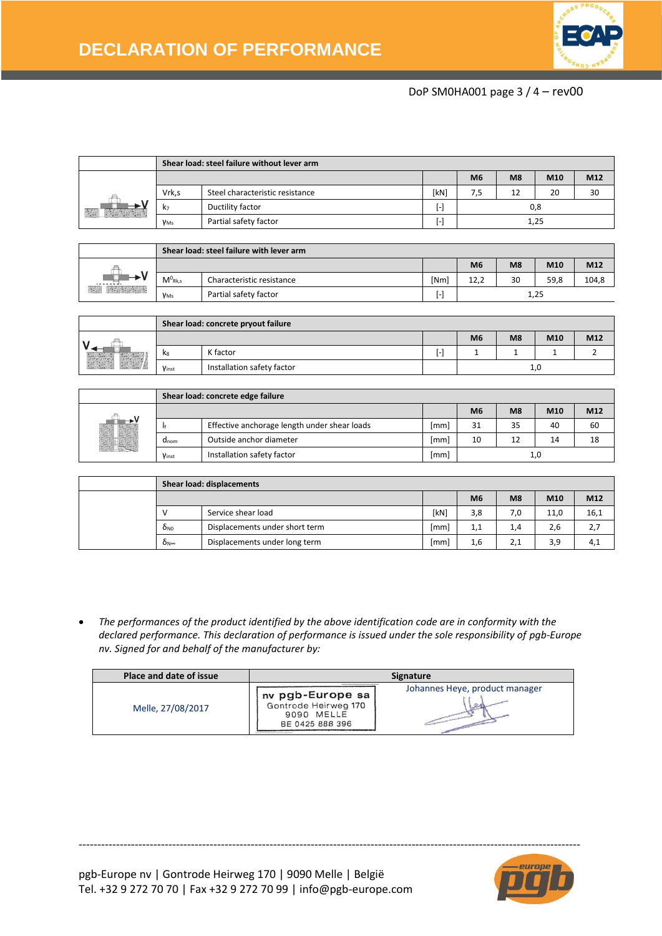

## DoP SM0HA001 page 3 / 4 – rev00

|                                       |                                                             | Shear load: steel failure without lever arm |           |                |                |                 |       |  |
|---------------------------------------|-------------------------------------------------------------|---------------------------------------------|-----------|----------------|----------------|-----------------|-------|--|
|                                       |                                                             |                                             |           | M <sub>6</sub> | M8             | M <sub>10</sub> | M12   |  |
|                                       | Vrk,s                                                       | Steel characteristic resistance             | [kN]      | 7,5            | 12             | 20              | 30    |  |
| $\mathbb{E}[\mathcal{S}]$             | k <sub>7</sub>                                              | Ductility factor                            | $[\cdot]$ | 0,8            |                |                 |       |  |
|                                       | <b>Y</b> <sub>Ms</sub>                                      | Partial safety factor                       | $[\cdot]$ | 1,25           |                |                 |       |  |
|                                       |                                                             |                                             |           |                |                |                 |       |  |
|                                       |                                                             | Shear load: steel failure with lever arm    |           |                |                |                 |       |  |
|                                       |                                                             |                                             |           | M <sub>6</sub> | M <sub>8</sub> | M <sub>10</sub> | M12   |  |
|                                       | $M^0_{Rk,s}$                                                | Characteristic resistance                   | [Nm]      | 12,2           | 30             | 59,8            | 104,8 |  |
| $\mathcal{L}(\mathcal{S})$<br>2222222 | <b>F</b> 1<br>Dortial cafety factor<br>$\ddot{\phantom{0}}$ |                                             |           |                |                | 1. DE           |       |  |

|                                   |       | Shear load: concrete pryout failure |    |                |    |     |     |
|-----------------------------------|-------|-------------------------------------|----|----------------|----|-----|-----|
|                                   |       |                                     |    | M <sub>6</sub> | M8 | M10 | M12 |
| <b>Service Control of Control</b> | $k_8$ | K factor                            | ŀ١ | -              |    |     |     |
| Sad B                             | Vinst | Installation safety factor          |    |                |    | 1,0 |     |

 $\gamma_{\text{Ms}}$  Partial safety factor  $1,25$ 

|                   |           | Shear load: concrete edge failure            |      |                |                |     |     |
|-------------------|-----------|----------------------------------------------|------|----------------|----------------|-----|-----|
|                   |           |                                              |      | M <sub>6</sub> | M <sub>8</sub> | M10 | M12 |
|                   |           | Effective anchorage length under shear loads | [mm] | 31             | 35             | 40  | 60  |
|                   | $d_{nom}$ | Outside anchor diameter                      | [mm] | 10             |                | 14  | 18  |
| <b>STATISTICS</b> | Vinst     | Installation safety factor                   | [mm] |                |                | 1,0 |     |

|                           | Shear load: displacements      |      |                |                |      |      |
|---------------------------|--------------------------------|------|----------------|----------------|------|------|
|                           |                                |      | M <sub>6</sub> | M <sub>8</sub> | M10  | M12  |
|                           | Service shear load             | [kN] | 3,8            | 7.0            | 11.0 | 16,1 |
| $\delta_{\rm NO}$         | Displacements under short term | [mm] | 1,1            | 1,4            | 2,6  | 2,7  |
| $\delta_{\text{N}\infty}$ | Displacements under long term  | [mm] | 1,6            | 2,1            | 3,9  | 4,1  |

• *The performances of the product identified by the above identification code are in conformity with the declared performance. This declaration of performance is issued under the sole responsibility of pgb-Europe nv. Signed for and behalf of the manufacturer by:* 

| Place and date of issue | <b>Signature</b>                                                          |                                |  |  |  |  |
|-------------------------|---------------------------------------------------------------------------|--------------------------------|--|--|--|--|
| Melle, 27/08/2017       | nv pgb-Europe sa<br>Gontrode Heirweg 170<br>9090 MELLE<br>BE 0425 888 396 | Johannes Heye, product manager |  |  |  |  |